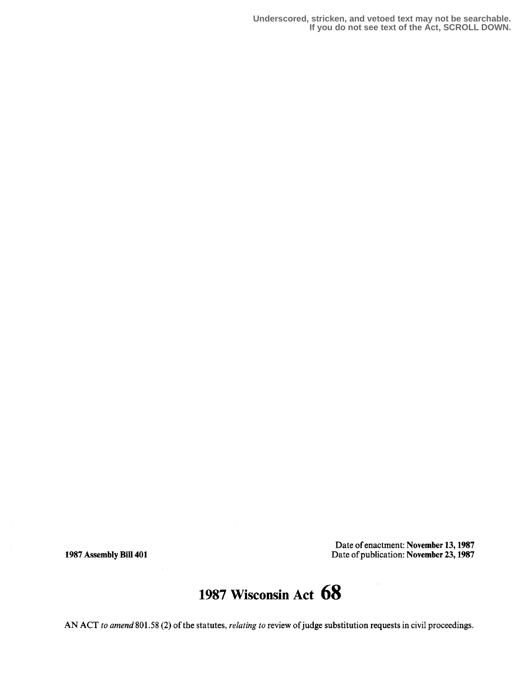**Underscored, stricken, and vetoed text may not be searchable. If you do not see text of the Act, SCROLL DOWN.**

Date of enactment: November 13, 1987 1987 Assembly Bill 401 Date of publication: November 23, 1987

## 1987 Wisconsin Act 68

AN ACT to amend 801.58 (2) of the statutes, relating to review of judge substitution requests in civil proceedings.